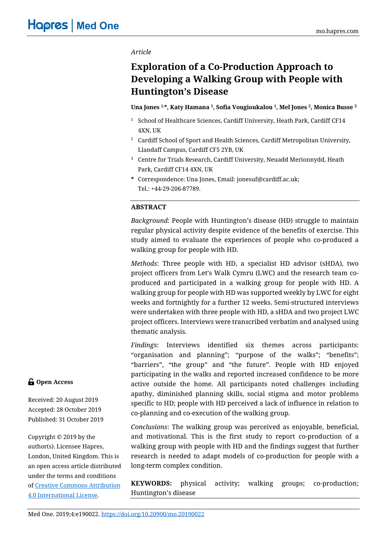## *Article*

# **Exploration of a Co-Production Approach to Developing a Walking Group with People with Huntington's Disease**

## **Una Jones 1, \*, Katy Hamana 1, Sofia Vougioukalou 1, Mel Jones 2, Monica Busse <sup>3</sup>**

- <sup>1</sup> School of Healthcare Sciences, Cardiff University, Heath Park, Cardiff CF14 4XN, UK
- <sup>2</sup> Cardiff School of Sport and Health Sciences, Cardiff Metropolitan University, Llandaff Campus, Cardiff CF5 2YB, UK
- <sup>3</sup> Centre for Trials Research, Cardiff University, Neuadd Merionnydd, Heath Park, Cardiff CF14 4XN, UK
- **\*** Correspondence: Una Jones, Email: jonesuf@cardiff.ac.uk; Tel.: +44-29-206-87789.

## **ABSTRACT**

*Background*: People with Huntington's disease (HD) struggle to maintain regular physical activity despite evidence of the benefits of exercise. This study aimed to evaluate the experiences of people who co-produced a walking group for people with HD.

*Methods*: Three people with HD, a specialist HD advisor (sHDA), two project officers from Let's Walk Cymru (LWC) and the research team coproduced and participated in a walking group for people with HD. A walking group for people with HD was supported weekly by LWC for eight weeks and fortnightly for a further 12 weeks. Semi-structured interviews were undertaken with three people with HD, a sHDA and two project LWC project officers. Interviews were transcribed verbatim and analysed using thematic analysis.

*Findings*: Interviews identified six themes across participants: "organisation and planning"; "purpose of the walks"; "benefits"; "barriers", "the group" and "the future". People with HD enjoyed participating in the walks and reported increased confidence to be more active outside the home. All participants noted challenges including apathy, diminished planning skills, social stigma and motor problems specific to HD; people with HD perceived a lack of influence in relation to co-planning and co-execution of the walking group.

*Conclusions*: The walking group was perceived as enjoyable, beneficial, and motivational. This is the first study to report co-production of a walking group with people with HD and the findings suggest that further research is needed to adapt models of co-production for people with a long-term complex condition.

**KEYWORDS:** physical activity; walking groups; co-production; Huntington's disease

## **G** Open Access

Received: 20 August 2019 Accepted: 28 October 2019 Published: 31 October 2019

Copyright © 2019 by the author(s). Licensee Hapres, London, United Kingdom. This is an open access article distributed under the terms and conditions of [Creative Commons Attribution](https://creativecommons.org/licenses/by/4.0/)  [4.0 International License.](https://creativecommons.org/licenses/by/4.0/)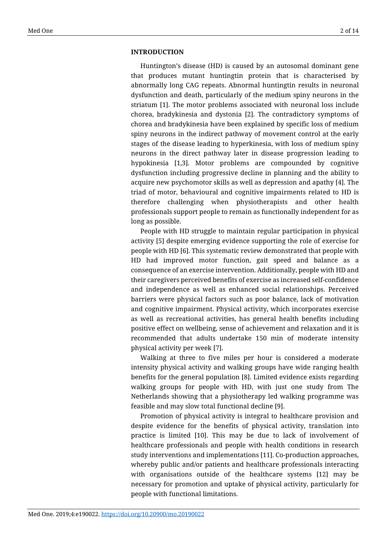#### **INTRODUCTION**

Huntington's disease (HD) is caused by an autosomal dominant gene that produces mutant huntingtin protein that is characterised by abnormally long CAG repeats. Abnormal huntingtin results in neuronal dysfunction and death, particularly of the medium spiny neurons in the striatum [1]. The motor problems associated with neuronal loss include chorea, bradykinesia and dystonia [2]. The contradictory symptoms of chorea and bradykinesia have been explained by specific loss of medium spiny neurons in the indirect pathway of movement control at the early stages of the disease leading to hyperkinesia, with loss of medium spiny neurons in the direct pathway later in disease progression leading to hypokinesia [1,3]. Motor problems are compounded by cognitive dysfunction including progressive decline in planning and the ability to acquire new psychomotor skills as well as depression and apathy [4]. The triad of motor, behavioural and cognitive impairments related to HD is therefore challenging when physiotherapists and other health professionals support people to remain as functionally independent for as long as possible.

People with HD struggle to maintain regular participation in physical activity [5] despite emerging evidence supporting the role of exercise for people with HD [6]. This systematic review demonstrated that people with HD had improved motor function, gait speed and balance as a consequence of an exercise intervention. Additionally, people with HD and their caregivers perceived benefits of exercise as increased self-confidence and independence as well as enhanced social relationships. Perceived barriers were physical factors such as poor balance, lack of motivation and cognitive impairment. Physical activity, which incorporates exercise as well as recreational activities, has general health benefits including positive effect on wellbeing, sense of achievement and relaxation and it is recommended that adults undertake 150 min of moderate intensity physical activity per week [7].

Walking at three to five miles per hour is considered a moderate intensity physical activity and walking groups have wide ranging health benefits for the general population [8]. Limited evidence exists regarding walking groups for people with HD, with just one study from The Netherlands showing that a physiotherapy led walking programme was feasible and may slow total functional decline [9].

Promotion of physical activity is integral to healthcare provision and despite evidence for the benefits of physical activity, translation into practice is limited [10]. This may be due to lack of involvement of healthcare professionals and people with health conditions in research study interventions and implementations [11]. Co-production approaches, whereby public and/or patients and healthcare professionals interacting with organisations outside of the healthcare systems [12] may be necessary for promotion and uptake of physical activity, particularly for people with functional limitations.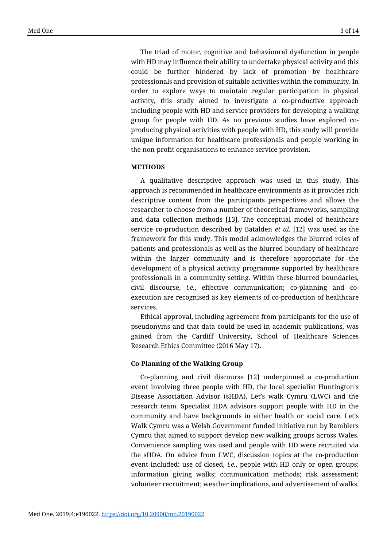The triad of motor, cognitive and behavioural dysfunction in people with HD may influence their ability to undertake physical activity and this could be further hindered by lack of promotion by healthcare professionals and provision of suitable activities within the community. In order to explore ways to maintain regular participation in physical activity, this study aimed to investigate a co-productive approach including people with HD and service providers for developing a walking group for people with HD. As no previous studies have explored coproducing physical activities with people with HD, this study will provide unique information for healthcare professionals and people working in the non-profit organisations to enhance service provision.

## **METHODS**

A qualitative descriptive approach was used in this study. This approach is recommended in healthcare environments as it provides rich descriptive content from the participants perspectives and allows the researcher to choose from a number of theoretical frameworks, sampling and data collection methods [13]. The conceptual model of healthcare service co-production described by Batalden *et al.* [12] was used as the framework for this study. This model acknowledges the blurred roles of patients and professionals as well as the blurred boundary of healthcare within the larger community and is therefore appropriate for the development of a physical activity programme supported by healthcare professionals in a community setting. Within these blurred boundaries, civil discourse, *i.e.*, effective communication; co-planning and coexecution are recognised as key elements of co-production of healthcare services.

Ethical approval, including agreement from participants for the use of pseudonyms and that data could be used in academic publications, was gained from the Cardiff University, School of Healthcare Sciences Research Ethics Committee (2016 May 17).

#### **Co-Planning of the Walking Group**

Co-planning and civil discourse [12] underpinned a co-production event involving three people with HD, the local specialist Huntington's Disease Association Advisor (sHDA), Let's walk Cymru (LWC) and the research team. Specialist HDA advisors support people with HD in the community and have backgrounds in either health or social care. Let's Walk Cymru was a Welsh Government funded initiative run by Ramblers Cymru that aimed to support develop new walking groups across Wales. Convenience sampling was used and people with HD were recruited via the sHDA. On advice from LWC, discussion topics at the co-production event included: use of closed, *i.e.*, people with HD only or open groups; information giving walks; communication methods; risk assessment; volunteer recruitment; weather implications, and advertisement of walks.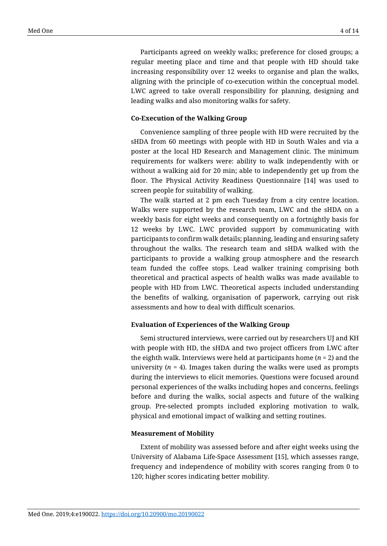Participants agreed on weekly walks; preference for closed groups; a regular meeting place and time and that people with HD should take increasing responsibility over 12 weeks to organise and plan the walks, aligning with the principle of co-execution within the conceptual model. LWC agreed to take overall responsibility for planning, designing and leading walks and also monitoring walks for safety.

#### **Co-Execution of the Walking Group**

Convenience sampling of three people with HD were recruited by the sHDA from 60 meetings with people with HD in South Wales and via a poster at the local HD Research and Management clinic. The minimum requirements for walkers were: ability to walk independently with or without a walking aid for 20 min; able to independently get up from the floor. The Physical Activity Readiness Questionnaire [14] was used to screen people for suitability of walking.

The walk started at 2 pm each Tuesday from a city centre location. Walks were supported by the research team, LWC and the sHDA on a weekly basis for eight weeks and consequently on a fortnightly basis for 12 weeks by LWC. LWC provided support by communicating with participants to confirm walk details; planning, leading and ensuring safety throughout the walks. The research team and sHDA walked with the participants to provide a walking group atmosphere and the research team funded the coffee stops. Lead walker training comprising both theoretical and practical aspects of health walks was made available to people with HD from LWC. Theoretical aspects included understanding the benefits of walking, organisation of paperwork, carrying out risk assessments and how to deal with difficult scenarios.

## **Evaluation of Experiences of the Walking Group**

Semi structured interviews, were carried out by researchers UJ and KH with people with HD, the sHDA and two project officers from LWC after the eighth walk. Interviews were held at participants home (*n* = 2) and the university  $(n = 4)$ . Images taken during the walks were used as prompts during the interviews to elicit memories. Questions were focused around personal experiences of the walks including hopes and concerns, feelings before and during the walks, social aspects and future of the walking group. Pre-selected prompts included exploring motivation to walk, physical and emotional impact of walking and setting routines.

#### **Measurement of Mobility**

Extent of mobility was assessed before and after eight weeks using the University of Alabama Life-Space Assessment [15], which assesses range, frequency and independence of mobility with scores ranging from 0 to 120; higher scores indicating better mobility.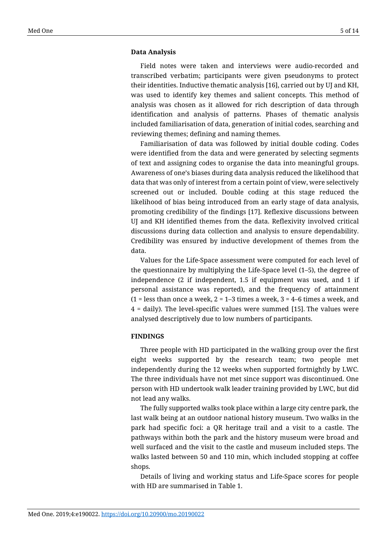#### **Data Analysis**

Field notes were taken and interviews were audio-recorded and transcribed verbatim; participants were given pseudonyms to protect their identities. Inductive thematic analysis [16], carried out by UJ and KH, was used to identify key themes and salient concepts. This method of analysis was chosen as it allowed for rich description of data through identification and analysis of patterns. Phases of thematic analysis included familiarisation of data, generation of initial codes, searching and reviewing themes; defining and naming themes.

Familiarisation of data was followed by initial double coding. Codes were identified from the data and were generated by selecting segments of text and assigning codes to organise the data into meaningful groups. Awareness of one's biases during data analysis reduced the likelihood that data that was only of interest from a certain point of view, were selectively screened out or included. Double coding at this stage reduced the likelihood of bias being introduced from an early stage of data analysis, promoting credibility of the findings [17]. Reflexive discussions between UJ and KH identified themes from the data. Reflexivity involved critical discussions during data collection and analysis to ensure dependability. Credibility was ensured by inductive development of themes from the data.

Values for the Life-Space assessment were computed for each level of the questionnaire by multiplying the Life‐Space level (1–5), the degree of independence (2 if independent, 1.5 if equipment was used, and 1 if personal assistance was reported), and the frequency of attainment (1 = less than once a week,  $2 = 1-3$  times a week,  $3 = 4-6$  times a week, and 4 = daily). The level‐specific values were summed [15]. The values were analysed descriptively due to low numbers of participants.

## **FINDINGS**

Three people with HD participated in the walking group over the first eight weeks supported by the research team; two people met independently during the 12 weeks when supported fortnightly by LWC. The three individuals have not met since support was discontinued. One person with HD undertook walk leader training provided by LWC, but did not lead any walks.

The fully supported walks took place within a large city centre park, the last walk being at an outdoor national history museum. Two walks in the park had specific foci: a QR heritage trail and a visit to a castle. The pathways within both the park and the history museum were broad and well surfaced and the visit to the castle and museum included steps. The walks lasted between 50 and 110 min, which included stopping at coffee shops.

Details of living and working status and Life-Space scores for people with HD are summarised in Table 1.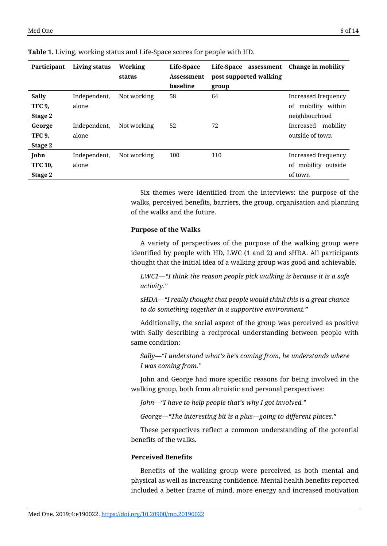| Participant    | Living status | Working     | Life-Space | Life-Space<br>assessment | Change in mobility    |
|----------------|---------------|-------------|------------|--------------------------|-----------------------|
|                |               | status      | Assessment | post supported walking   |                       |
|                |               |             | baseline   | group                    |                       |
| <b>Sally</b>   | Independent,  | Not working | 58         | 64                       | Increased frequency   |
| <b>TFC 9,</b>  | alone         |             |            |                          | of mobility within    |
| Stage 2        |               |             |            |                          | neighbourhood         |
| George         | Independent,  | Not working | 52         | 72                       | mobility<br>Increased |
| <b>TFC 9,</b>  | alone         |             |            |                          | outside of town       |
| Stage 2        |               |             |            |                          |                       |
| John           | Independent,  | Not working | 100        | 110                      | Increased frequency   |
| <b>TFC 10,</b> | alone         |             |            |                          | of mobility outside   |
| Stage 2        |               |             |            |                          | of town               |

**Table 1.** Living, working status and Life-Space scores for people with HD.

Six themes were identified from the interviews: the purpose of the walks, perceived benefits, barriers, the group, organisation and planning of the walks and the future.

#### **Purpose of the Walks**

A variety of perspectives of the purpose of the walking group were identified by people with HD, LWC (1 and 2) and sHDA. All participants thought that the initial idea of a walking group was good and achievable.

*LWC1—"I think the reason people pick walking is because it is a safe activity."*

*sHDA—"I really thought that people would think this is a great chance to do something together in a supportive environment."*

Additionally, the social aspect of the group was perceived as positive with Sally describing a reciprocal understanding between people with same condition:

*Sally—"I understood what's he's coming from, he understands where I was coming from."*

John and George had more specific reasons for being involved in the walking group, both from altruistic and personal perspectives:

*John—"I have to help people that's why I got involved."*

*George—"The interesting bit is a plus—going to different places."*

These perspectives reflect a common understanding of the potential benefits of the walks.

## **Perceived Benefits**

Benefits of the walking group were perceived as both mental and physical as well as increasing confidence. Mental health benefits reported included a better frame of mind, more energy and increased motivation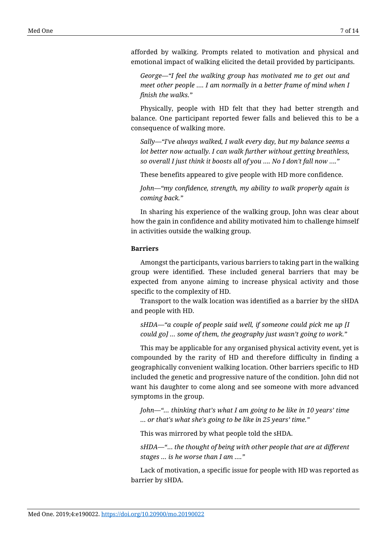afforded by walking. Prompts related to motivation and physical and emotional impact of walking elicited the detail provided by participants.

*George—"I feel the walking group has motivated me to get out and meet other people …. I am normally in a better frame of mind when I finish the walks."*

Physically, people with HD felt that they had better strength and balance. One participant reported fewer falls and believed this to be a consequence of walking more.

*Sally—"I've always walked, I walk every day, but my balance seems a lot better now actually. I can walk further without getting breathless, so overall I just think it boosts all of you …. No I don't fall now …."*

These benefits appeared to give people with HD more confidence.

*John—"my confidence, strength, my ability to walk properly again is coming back."*

In sharing his experience of the walking group, John was clear about how the gain in confidence and ability motivated him to challenge himself in activities outside the walking group.

## **Barriers**

Amongst the participants, various barriers to taking part in the walking group were identified. These included general barriers that may be expected from anyone aiming to increase physical activity and those specific to the complexity of HD.

Transport to the walk location was identified as a barrier by the sHDA and people with HD.

*sHDA—"a couple of people said well, if someone could pick me up [I could go] … some of them, the geography just wasn't going to work."*

This may be applicable for any organised physical activity event, yet is compounded by the rarity of HD and therefore difficulty in finding a geographically convenient walking location. Other barriers specific to HD included the genetic and progressive nature of the condition. John did not want his daughter to come along and see someone with more advanced symptoms in the group.

*John—"… thinking that's what I am going to be like in 10 years' time … or that's what she's going to be like in 25 years' time."*

This was mirrored by what people told the sHDA.

*sHDA—"*… *the thought of being with other people that are at different stages … is he worse than I am …."*

Lack of motivation, a specific issue for people with HD was reported as barrier by sHDA.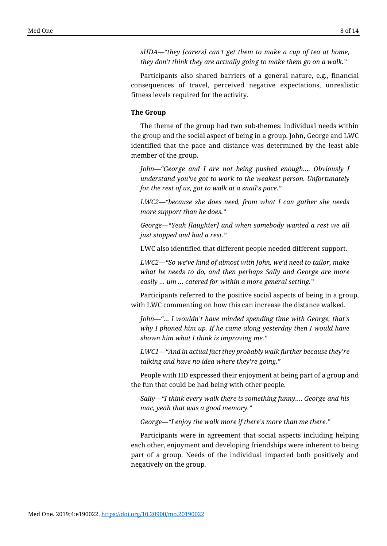*sHDA—"they [carers] can't get them to make a cup of tea at home, they don't think they are actually going to make them go on a walk."*

Participants also shared barriers of a general nature, e.g., financial consequences of travel, perceived negative expectations, unrealistic fitness levels required for the activity.

## **The Group**

The theme of the group had two sub-themes: individual needs within the group and the social aspect of being in a group. John, George and LWC identified that the pace and distance was determined by the least able member of the group.

*John—"George and I are not being pushed enough…. Obviously I understand you've got to work to the weakest person. Unfortunately for the rest of us, got to walk at a snail's pace."*

*LWC2—"because she does need, from what I can gather she needs more support than he does."*

*George—"Yeah [laughter] and when somebody wanted a rest we all just stopped and had a rest."*

LWC also identified that different people needed different support.

*LWC2—"So we've kind of almost with John, we'd need to tailor, make what he needs to do, and then perhaps Sally and George are more easily … um … catered for within a more general setting."*

Participants referred to the positive social aspects of being in a group, with LWC commenting on how this can increase the distance walked.

*John—"… I wouldn't have minded spending time with George, that's why I phoned him up. If he came along yesterday then I would have shown him what I think is improving me."*

*LWC1—"And in actual fact they probably walk further because they're talking and have no idea where they're going."*

People with HD expressed their enjoyment at being part of a group and the fun that could be had being with other people.

*Sally—"I think every walk there is something funny…. George and his mac, yeah that was a good memory."*

*George—"I enjoy the walk more if there's more than me there."*

Participants were in agreement that social aspects including helping each other, enjoyment and developing friendships were inherent to being part of a group. Needs of the individual impacted both positively and negatively on the group.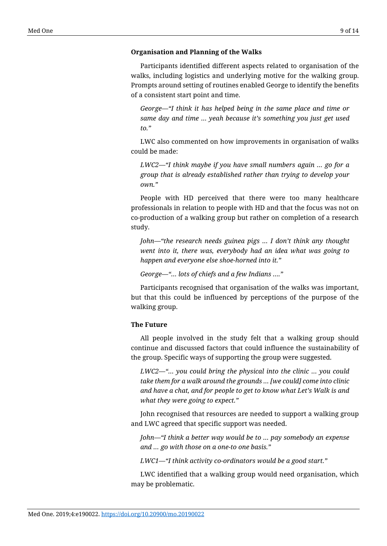#### **Organisation and Planning of the Walks**

Participants identified different aspects related to organisation of the walks, including logistics and underlying motive for the walking group. Prompts around setting of routines enabled George to identify the benefits of a consistent start point and time.

*George—"I think it has helped being in the same place and time or same day and time … yeah because it's something you just get used to."*

LWC also commented on how improvements in organisation of walks could be made:

*LWC2—"I think maybe if you have small numbers again … go for a group that is already established rather than trying to develop your own."*

People with HD perceived that there were too many healthcare professionals in relation to people with HD and that the focus was not on co-production of a walking group but rather on completion of a research study.

*John—"the research needs guinea pigs … I don't think any thought went into it, there was, everybody had an idea what was going to happen and everyone else shoe-horned into it."*

*George—"… lots of chiefs and a few Indians …."*

Participants recognised that organisation of the walks was important, but that this could be influenced by perceptions of the purpose of the walking group.

## **The Future**

All people involved in the study felt that a walking group should continue and discussed factors that could influence the sustainability of the group. Specific ways of supporting the group were suggested.

*LWC2—"… you could bring the physical into the clinic … you could take them for a walk around the grounds … [we could] come into clinic and have a chat, and for people to get to know what Let's Walk is and what they were going to expect."*

John recognised that resources are needed to support a walking group and LWC agreed that specific support was needed.

*John—"I think a better way would be to … pay somebody an expense and … go with those on a one-to one basis."*

*LWC1—"I think activity co-ordinators would be a good start."*

LWC identified that a walking group would need organisation, which may be problematic.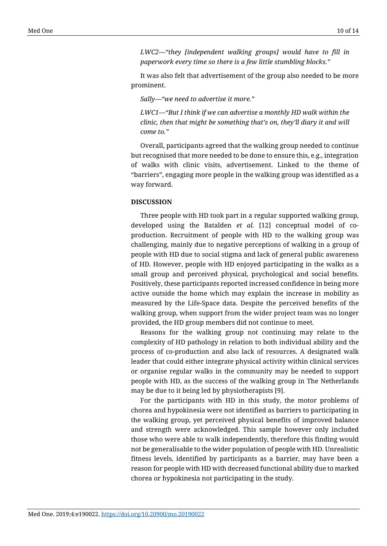*LWC2—"they [independent walking groups] would have to fill in paperwork every time so there is a few little stumbling blocks."*

It was also felt that advertisement of the group also needed to be more prominent.

*Sally—"we need to advertise it more."*

*LWC1—"But I think if we can advertise a monthly HD walk within the clinic, then that might be something that's on, they'll diary it and will come to."*

Overall, participants agreed that the walking group needed to continue but recognised that more needed to be done to ensure this, e.g., integration of walks with clinic visits, advertisement. Linked to the theme of "barriers", engaging more people in the walking group was identified as a way forward.

#### **DISCUSSION**

Three people with HD took part in a regular supported walking group, developed using the Batalden *et al.* [12] conceptual model of coproduction. Recruitment of people with HD to the walking group was challenging, mainly due to negative perceptions of walking in a group of people with HD due to social stigma and lack of general public awareness of HD. However, people with HD enjoyed participating in the walks as a small group and perceived physical, psychological and social benefits. Positively, these participants reported increased confidence in being more active outside the home which may explain the increase in mobility as measured by the Life-Space data. Despite the perceived benefits of the walking group, when support from the wider project team was no longer provided, the HD group members did not continue to meet.

Reasons for the walking group not continuing may relate to the complexity of HD pathology in relation to both individual ability and the process of co-production and also lack of resources. A designated walk leader that could either integrate physical activity within clinical services or organise regular walks in the community may be needed to support people with HD, as the success of the walking group in The Netherlands may be due to it being led by physiotherapists [9].

For the participants with HD in this study, the motor problems of chorea and hypokinesia were not identified as barriers to participating in the walking group, yet perceived physical benefits of improved balance and strength were acknowledged. This sample however only included those who were able to walk independently, therefore this finding would not be generalisable to the wider population of people with HD. Unrealistic fitness levels, identified by participants as a barrier, may have been a reason for people with HD with decreased functional ability due to marked chorea or hypokinesia not participating in the study.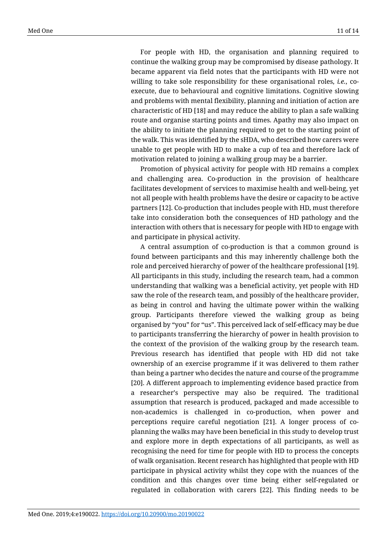For people with HD, the organisation and planning required to continue the walking group may be compromised by disease pathology. It became apparent via field notes that the participants with HD were not willing to take sole responsibility for these organisational roles, *i.e.*, coexecute, due to behavioural and cognitive limitations. Cognitive slowing and problems with mental flexibility, planning and initiation of action are characteristic of HD [18] and may reduce the ability to plan a safe walking route and organise starting points and times. Apathy may also impact on the ability to initiate the planning required to get to the starting point of the walk. This was identified by the sHDA, who described how carers were unable to get people with HD to make a cup of tea and therefore lack of motivation related to joining a walking group may be a barrier.

Promotion of physical activity for people with HD remains a complex and challenging area. Co-production in the provision of healthcare facilitates development of services to maximise health and well-being, yet not all people with health problems have the desire or capacity to be active partners [12]. Co-production that includes people with HD, must therefore take into consideration both the consequences of HD pathology and the interaction with others that is necessary for people with HD to engage with and participate in physical activity.

A central assumption of co-production is that a common ground is found between participants and this may inherently challenge both the role and perceived hierarchy of power of the healthcare professional [19]. All participants in this study, including the research team, had a common understanding that walking was a beneficial activity, yet people with HD saw the role of the research team, and possibly of the healthcare provider, as being in control and having the ultimate power within the walking group. Participants therefore viewed the walking group as being organised by "you" for "us". This perceived lack of self-efficacy may be due to participants transferring the hierarchy of power in health provision to the context of the provision of the walking group by the research team. Previous research has identified that people with HD did not take ownership of an exercise programme if it was delivered to them rather than being a partner who decides the nature and course of the programme [20]. A different approach to implementing evidence based practice from a researcher's perspective may also be required. The traditional assumption that research is produced, packaged and made accessible to non-academics is challenged in co-production, when power and perceptions require careful negotiation [21]. A longer process of coplanning the walks may have been beneficial in this study to develop trust and explore more in depth expectations of all participants, as well as recognising the need for time for people with HD to process the concepts of walk organisation. Recent research has highlighted that people with HD participate in physical activity whilst they cope with the nuances of the condition and this changes over time being either self-regulated or regulated in collaboration with carers [22]. This finding needs to be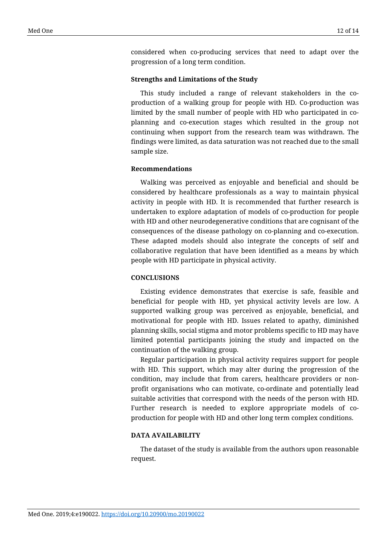considered when co-producing services that need to adapt over the progression of a long term condition.

#### **Strengths and Limitations of the Study**

This study included a range of relevant stakeholders in the coproduction of a walking group for people with HD. Co-production was limited by the small number of people with HD who participated in coplanning and co-execution stages which resulted in the group not continuing when support from the research team was withdrawn. The findings were limited, as data saturation was not reached due to the small sample size.

#### **Recommendations**

Walking was perceived as enjoyable and beneficial and should be considered by healthcare professionals as a way to maintain physical activity in people with HD. It is recommended that further research is undertaken to explore adaptation of models of co-production for people with HD and other neurodegenerative conditions that are cognisant of the consequences of the disease pathology on co-planning and co-execution. These adapted models should also integrate the concepts of self and collaborative regulation that have been identified as a means by which people with HD participate in physical activity.

## **CONCLUSIONS**

Existing evidence demonstrates that exercise is safe, feasible and beneficial for people with HD, yet physical activity levels are low. A supported walking group was perceived as enjoyable, beneficial, and motivational for people with HD. Issues related to apathy, diminished planning skills, social stigma and motor problems specific to HD may have limited potential participants joining the study and impacted on the continuation of the walking group.

Regular participation in physical activity requires support for people with HD. This support, which may alter during the progression of the condition, may include that from carers, healthcare providers or nonprofit organisations who can motivate, co-ordinate and potentially lead suitable activities that correspond with the needs of the person with HD. Further research is needed to explore appropriate models of coproduction for people with HD and other long term complex conditions.

#### **DATA AVAILABILITY**

The dataset of the study is available from the authors upon reasonable request.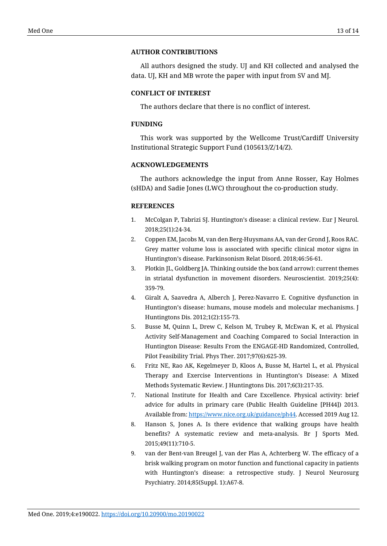## **AUTHOR CONTRIBUTIONS**

All authors designed the study. UJ and KH collected and analysed the data. UJ, KH and MB wrote the paper with input from SV and MJ.

## **CONFLICT OF INTEREST**

The authors declare that there is no conflict of interest.

## **FUNDING**

This work was supported by the Wellcome Trust/Cardiff University Institutional Strategic Support Fund (105613/Z/14/Z).

## **ACKNOWLEDGEMENTS**

The authors acknowledge the input from Anne Rosser, Kay Holmes (sHDA) and Sadie Jones (LWC) throughout the co-production study.

## **REFERENCES**

- 1. McColgan P, Tabrizi SJ. Huntington's disease: a clinical review. Eur J Neurol. 2018;25(1):24-34.
- 2. Coppen EM, Jacobs M, van den Berg-Huysmans AA, van der Grond J, Roos RAC. Grey matter volume loss is associated with specific clinical motor signs in Huntington's disease. Parkinsonism Relat Disord. 2018;46:56-61.
- 3. Plotkin JL, Goldberg JA. Thinking outside the box (and arrow): current themes in striatal dysfunction in movement disorders. Neuroscientist. 2019;25(4): 359-79.
- 4. Giralt A, Saavedra A, Alberch J, Perez-Navarro E. Cognitive dysfunction in Huntington's disease: humans, mouse models and molecular mechanisms. J Huntingtons Dis. 2012;1(2):155-73.
- 5. Busse M, Quinn L, Drew C, Kelson M, Trubey R, McEwan K, et al. Physical Activity Self-Management and Coaching Compared to Social Interaction in Huntington Disease: Results From the ENGAGE-HD Randomized, Controlled, Pilot Feasibility Trial. Phys Ther. 2017;97(6):625-39.
- 6. Fritz NE, Rao AK, Kegelmeyer D, Kloos A, Busse M, Hartel L, et al. Physical Therapy and Exercise Interventions in Huntington's Disease: A Mixed Methods Systematic Review. J Huntingtons Dis. 2017;6(3):217-35.
- 7. National Institute for Health and Care Excellence. Physical activity: brief advice for adults in primary care (Public Health Guideline [PH44]) 2013. Available from[: https://www.nice.org.uk/guidance/ph44.](https://www.nice.org.uk/guidance/ph44) Accessed 2019 Aug 12.
- 8. Hanson S, Jones A. Is there evidence that walking groups have health benefits? A systematic review and meta-analysis. Br J Sports Med. 2015;49(11):710-5.
- 9. van der Bent-van Breugel J, van der Plas A, Achterberg W. The efficacy of a brisk walking program on motor function and functional capacity in patients with Huntington's disease: a retrospective study. J Neurol Neurosurg Psychiatry. 2014;85(Suppl. 1):A67-8.